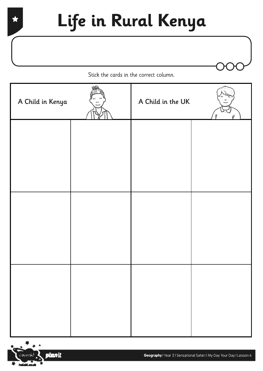## **Life in Rural Kenya**

Stick the cards in the correct column.

| A Child in Kenya | A Child in the UK |  |
|------------------|-------------------|--|
|                  |                   |  |
|                  |                   |  |
|                  |                   |  |
|                  |                   |  |
|                  |                   |  |
|                  |                   |  |

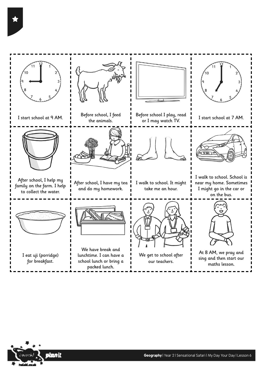$10$  $\blacksquare$ I start school at 9 AM. Before school, I feed Before school I play, read for  $I$  may watch TV.  $I$  istart school at 7 AM. the animals. I walk to school. School is After school, I help my After school, I have my tea I walk to school. It might near my home. Sometimes family on the farm. I help and do my homework. take me an hour. I might go in the car or to collect the water. on the bus. We have break and At 8 AM, we pray and We get to school after I eat uji (porridge) lunchtime. I can have a sing and then start our for breakfast. school lunch or bring a our teachers. maths lesson.packed lunch.

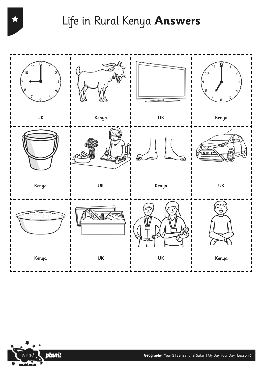Life in Rural Kenya **Answers**





**Geography** | Year 2 | Sensational Safari | My Day Your Day | Lesson 6